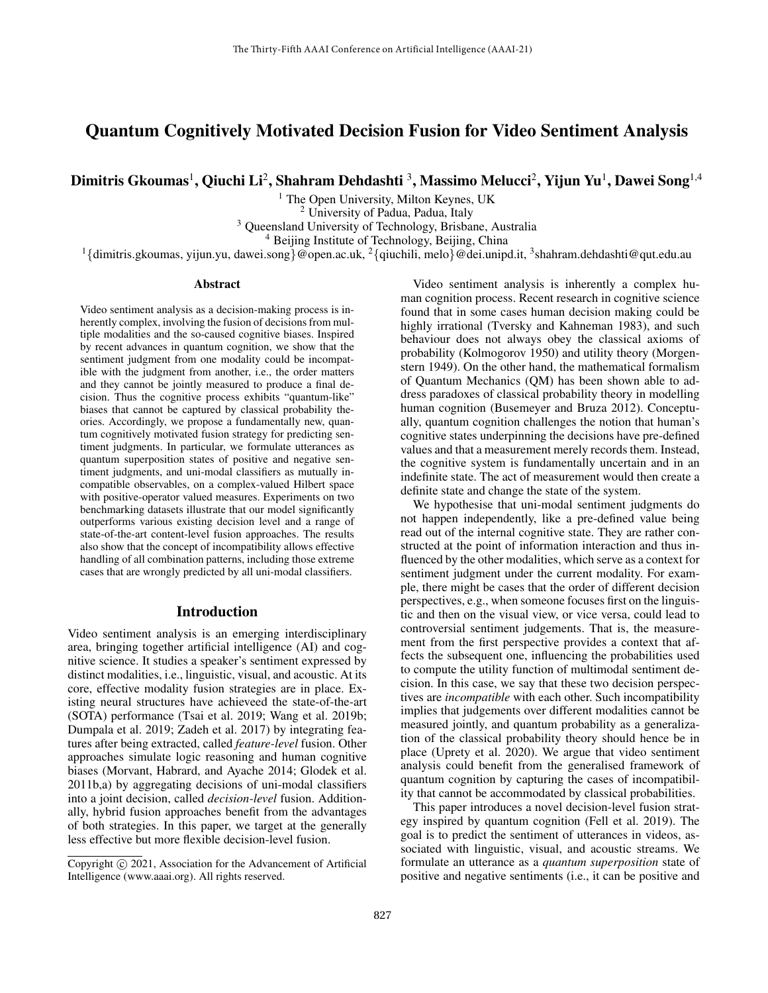# Quantum Cognitively Motivated Decision Fusion for Video Sentiment Analysis

Dimitris Gkoumas<sup>1</sup>, Qiuchi Li<sup>2</sup>, Shahram Dehdashti <sup>3</sup>, Massimo Melucci<sup>2</sup>, Yijun Yu<sup>1</sup>, Dawei Song<sup>1,4</sup>

<sup>1</sup> The Open University, Milton Keynes, UK

<sup>2</sup> University of Padua, Padua, Italy

<sup>3</sup> Queensland University of Technology, Brisbane, Australia

<sup>4</sup> Beijing Institute of Technology, Beijing, China

 $1\{\text{dimitris.gkoumas, yijun.yu, dawei.song}\}$ @open.ac.uk,  $2\{\text{quchili, melo}\}$ @dei.unipd.it,  $3\text{shahram.}$ dehdashti@qut.edu.au

#### Abstract

Video sentiment analysis as a decision-making process is inherently complex, involving the fusion of decisions from multiple modalities and the so-caused cognitive biases. Inspired by recent advances in quantum cognition, we show that the sentiment judgment from one modality could be incompatible with the judgment from another, i.e., the order matters and they cannot be jointly measured to produce a final decision. Thus the cognitive process exhibits "quantum-like" biases that cannot be captured by classical probability theories. Accordingly, we propose a fundamentally new, quantum cognitively motivated fusion strategy for predicting sentiment judgments. In particular, we formulate utterances as quantum superposition states of positive and negative sentiment judgments, and uni-modal classifiers as mutually incompatible observables, on a complex-valued Hilbert space with positive-operator valued measures. Experiments on two benchmarking datasets illustrate that our model significantly outperforms various existing decision level and a range of state-of-the-art content-level fusion approaches. The results also show that the concept of incompatibility allows effective handling of all combination patterns, including those extreme cases that are wrongly predicted by all uni-modal classifiers.

#### Introduction

Video sentiment analysis is an emerging interdisciplinary area, bringing together artificial intelligence (AI) and cognitive science. It studies a speaker's sentiment expressed by distinct modalities, i.e., linguistic, visual, and acoustic. At its core, effective modality fusion strategies are in place. Existing neural structures have achieveed the state-of-the-art (SOTA) performance (Tsai et al. 2019; Wang et al. 2019b; Dumpala et al. 2019; Zadeh et al. 2017) by integrating features after being extracted, called *feature-level* fusion. Other approaches simulate logic reasoning and human cognitive biases (Morvant, Habrard, and Ayache 2014; Glodek et al. 2011b,a) by aggregating decisions of uni-modal classifiers into a joint decision, called *decision-level* fusion. Additionally, hybrid fusion approaches benefit from the advantages of both strategies. In this paper, we target at the generally less effective but more flexible decision-level fusion.

Video sentiment analysis is inherently a complex human cognition process. Recent research in cognitive science found that in some cases human decision making could be highly irrational (Tversky and Kahneman 1983), and such behaviour does not always obey the classical axioms of probability (Kolmogorov 1950) and utility theory (Morgenstern 1949). On the other hand, the mathematical formalism of Quantum Mechanics (QM) has been shown able to address paradoxes of classical probability theory in modelling human cognition (Busemeyer and Bruza 2012). Conceptually, quantum cognition challenges the notion that human's cognitive states underpinning the decisions have pre-defined values and that a measurement merely records them. Instead, the cognitive system is fundamentally uncertain and in an indefinite state. The act of measurement would then create a definite state and change the state of the system.

We hypothesise that uni-modal sentiment judgments do not happen independently, like a pre-defined value being read out of the internal cognitive state. They are rather constructed at the point of information interaction and thus influenced by the other modalities, which serve as a context for sentiment judgment under the current modality. For example, there might be cases that the order of different decision perspectives, e.g., when someone focuses first on the linguistic and then on the visual view, or vice versa, could lead to controversial sentiment judgements. That is, the measurement from the first perspective provides a context that affects the subsequent one, influencing the probabilities used to compute the utility function of multimodal sentiment decision. In this case, we say that these two decision perspectives are *incompatible* with each other. Such incompatibility implies that judgements over different modalities cannot be measured jointly, and quantum probability as a generalization of the classical probability theory should hence be in place (Uprety et al. 2020). We argue that video sentiment analysis could benefit from the generalised framework of quantum cognition by capturing the cases of incompatibility that cannot be accommodated by classical probabilities.

This paper introduces a novel decision-level fusion strategy inspired by quantum cognition (Fell et al. 2019). The goal is to predict the sentiment of utterances in videos, associated with linguistic, visual, and acoustic streams. We formulate an utterance as a *quantum superposition* state of positive and negative sentiments (i.e., it can be positive and

Copyright © 2021, Association for the Advancement of Artificial Intelligence (www.aaai.org). All rights reserved.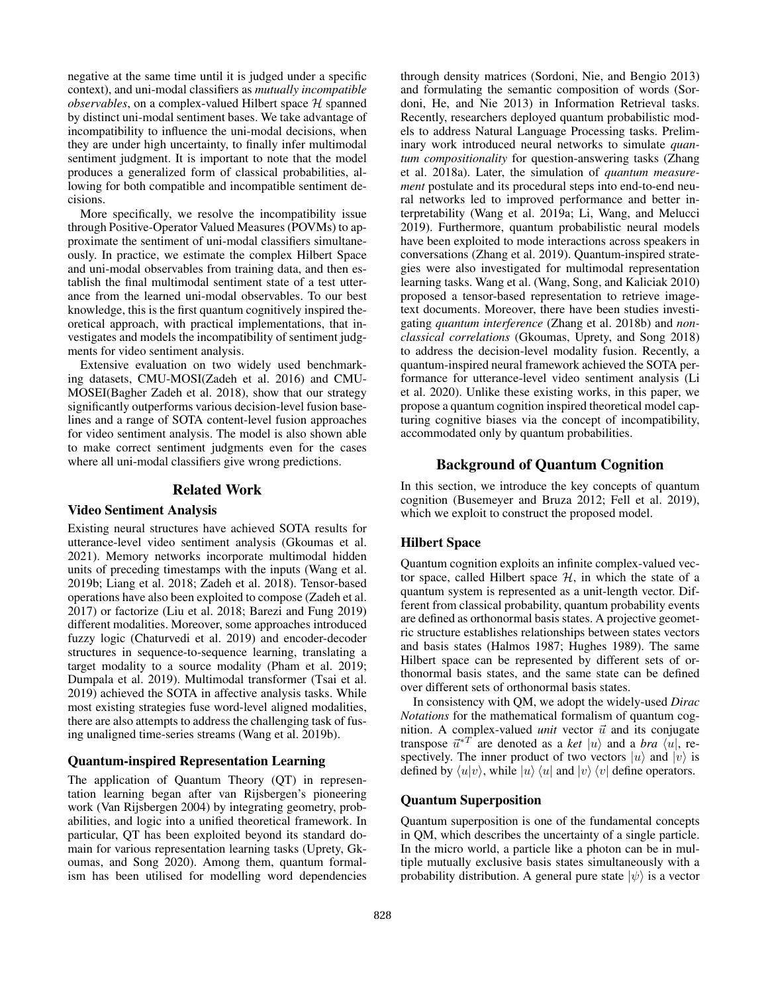negative at the same time until it is judged under a specific context), and uni-modal classifiers as *mutually incompatible*  $observals, on a complex-valued Hilbert space  $H$  spanned$ by distinct uni-modal sentiment bases. We take advantage of incompatibility to influence the uni-modal decisions, when they are under high uncertainty, to finally infer multimodal sentiment judgment. It is important to note that the model produces a generalized form of classical probabilities, allowing for both compatible and incompatible sentiment decisions.

More specifically, we resolve the incompatibility issue through Positive-Operator Valued Measures (POVMs) to approximate the sentiment of uni-modal classifiers simultaneously. In practice, we estimate the complex Hilbert Space and uni-modal observables from training data, and then establish the final multimodal sentiment state of a test utterance from the learned uni-modal observables. To our best knowledge, this is the first quantum cognitively inspired theoretical approach, with practical implementations, that investigates and models the incompatibility of sentiment judgments for video sentiment analysis.

Extensive evaluation on two widely used benchmarking datasets, CMU-MOSI(Zadeh et al. 2016) and CMU-MOSEI(Bagher Zadeh et al. 2018), show that our strategy significantly outperforms various decision-level fusion baselines and a range of SOTA content-level fusion approaches for video sentiment analysis. The model is also shown able to make correct sentiment judgments even for the cases where all uni-modal classifiers give wrong predictions.

#### Related Work

### Video Sentiment Analysis

Existing neural structures have achieved SOTA results for utterance-level video sentiment analysis (Gkoumas et al. 2021). Memory networks incorporate multimodal hidden units of preceding timestamps with the inputs (Wang et al. 2019b; Liang et al. 2018; Zadeh et al. 2018). Tensor-based operations have also been exploited to compose (Zadeh et al. 2017) or factorize (Liu et al. 2018; Barezi and Fung 2019) different modalities. Moreover, some approaches introduced fuzzy logic (Chaturvedi et al. 2019) and encoder-decoder structures in sequence-to-sequence learning, translating a target modality to a source modality (Pham et al. 2019; Dumpala et al. 2019). Multimodal transformer (Tsai et al. 2019) achieved the SOTA in affective analysis tasks. While most existing strategies fuse word-level aligned modalities, there are also attempts to address the challenging task of fusing unaligned time-series streams (Wang et al. 2019b).

#### Quantum-inspired Representation Learning

The application of Quantum Theory (QT) in representation learning began after van Rijsbergen's pioneering work (Van Rijsbergen 2004) by integrating geometry, probabilities, and logic into a unified theoretical framework. In particular, QT has been exploited beyond its standard domain for various representation learning tasks (Uprety, Gkoumas, and Song 2020). Among them, quantum formalism has been utilised for modelling word dependencies

through density matrices (Sordoni, Nie, and Bengio 2013) and formulating the semantic composition of words (Sordoni, He, and Nie 2013) in Information Retrieval tasks. Recently, researchers deployed quantum probabilistic models to address Natural Language Processing tasks. Preliminary work introduced neural networks to simulate *quantum compositionality* for question-answering tasks (Zhang et al. 2018a). Later, the simulation of *quantum measurement* postulate and its procedural steps into end-to-end neural networks led to improved performance and better interpretability (Wang et al. 2019a; Li, Wang, and Melucci 2019). Furthermore, quantum probabilistic neural models have been exploited to mode interactions across speakers in conversations (Zhang et al. 2019). Quantum-inspired strategies were also investigated for multimodal representation learning tasks. Wang et al. (Wang, Song, and Kaliciak 2010) proposed a tensor-based representation to retrieve imagetext documents. Moreover, there have been studies investigating *quantum interference* (Zhang et al. 2018b) and *nonclassical correlations* (Gkoumas, Uprety, and Song 2018) to address the decision-level modality fusion. Recently, a quantum-inspired neural framework achieved the SOTA performance for utterance-level video sentiment analysis (Li et al. 2020). Unlike these existing works, in this paper, we propose a quantum cognition inspired theoretical model capturing cognitive biases via the concept of incompatibility, accommodated only by quantum probabilities.

## Background of Quantum Cognition

In this section, we introduce the key concepts of quantum cognition (Busemeyer and Bruza 2012; Fell et al. 2019), which we exploit to construct the proposed model.

#### Hilbert Space

Quantum cognition exploits an infinite complex-valued vector space, called Hilbert space  $H$ , in which the state of a quantum system is represented as a unit-length vector. Different from classical probability, quantum probability events are defined as orthonormal basis states. A projective geometric structure establishes relationships between states vectors and basis states (Halmos 1987; Hughes 1989). The same Hilbert space can be represented by different sets of orthonormal basis states, and the same state can be defined over different sets of orthonormal basis states.

In consistency with QM, we adopt the widely-used *Dirac Notations* for the mathematical formalism of quantum cognition. A complex-valued *unit* vector  $\vec{u}$  and its conjugate transpose  $\vec{u}^{*T}$  are denoted as a *ket*  $|u\rangle$  and a *bra*  $\langle u|$ , respectively. The inner product of two vectors  $|u\rangle$  and  $|v\rangle$  is defined by  $\langle u|v \rangle$ , while  $|u\rangle \langle u|$  and  $|v\rangle \langle v|$  define operators.

## Quantum Superposition

Quantum superposition is one of the fundamental concepts in QM, which describes the uncertainty of a single particle. In the micro world, a particle like a photon can be in multiple mutually exclusive basis states simultaneously with a probability distribution. A general pure state  $|\psi\rangle$  is a vector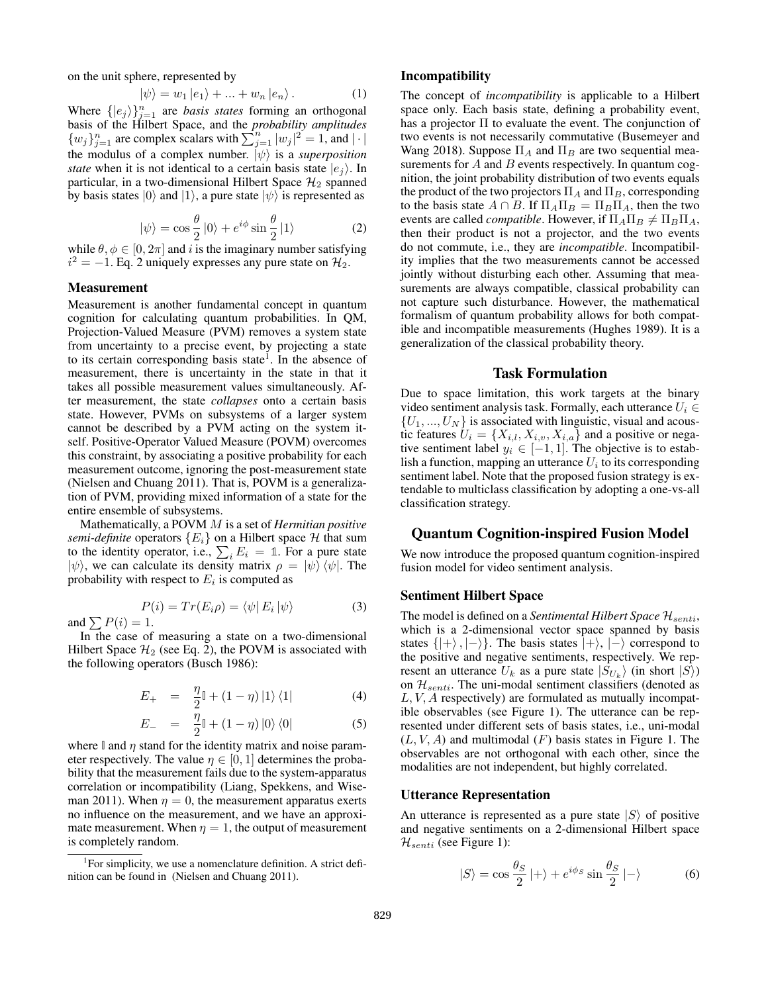on the unit sphere, represented by

$$
|\psi\rangle = w_1 |e_1\rangle + \dots + w_n |e_n\rangle. \tag{1}
$$

Where  $\{|e_j\rangle\}_{j=1}^n$  are *basis states* forming an orthogonal basis of the Hilbert Space, and the *probability amplitudes*  $\{w_j\}_{j=1}^n$  are complex scalars with  $\sum_{j=1}^n |w_j|^2 = 1$ , and  $|\cdot|$ the modulus of a complex number.  $|\psi\rangle$  is a *superposition state* when it is not identical to a certain basis state  $|e_i\rangle$ . In particular, in a two-dimensional Hilbert Space  $\mathcal{H}_2$  spanned by basis states  $|0\rangle$  and  $|1\rangle$ , a pure state  $|\psi\rangle$  is represented as

$$
|\psi\rangle = \cos\frac{\theta}{2}|0\rangle + e^{i\phi}\sin\frac{\theta}{2}|1\rangle \tag{2}
$$

while  $\theta, \phi \in [0, 2\pi]$  and i is the imaginary number satisfying  $i^2 = -1$ . Eq. 2 uniquely expresses any pure state on  $\mathcal{H}_2$ .

### Measurement

Measurement is another fundamental concept in quantum cognition for calculating quantum probabilities. In QM, Projection-Valued Measure (PVM) removes a system state from uncertainty to a precise event, by projecting a state to its certain corresponding basis state<sup>1</sup>. In the absence of measurement, there is uncertainty in the state in that it takes all possible measurement values simultaneously. After measurement, the state *collapses* onto a certain basis state. However, PVMs on subsystems of a larger system cannot be described by a PVM acting on the system itself. Positive-Operator Valued Measure (POVM) overcomes this constraint, by associating a positive probability for each measurement outcome, ignoring the post-measurement state (Nielsen and Chuang 2011). That is, POVM is a generalization of PVM, providing mixed information of a state for the entire ensemble of subsystems.

Mathematically, a POVM M is a set of *Hermitian positive semi-definite* operators  ${E_i}$  on a Hilbert space H that sum to the identity operator, i.e.,  $\sum_i E_i = \mathbb{1}$ . For a pure state  $|\psi\rangle$ , we can calculate its density matrix  $\rho = |\psi\rangle \langle \psi|$ . The probability with respect to  $E_i$  is computed as

$$
P(i) = Tr(E_i \rho) = \langle \psi | E_i | \psi \rangle \tag{3}
$$

and  $\sum P(i) = 1$ .

In the case of measuring a state on a two-dimensional Hilbert Space  $\mathcal{H}_2$  (see Eq. 2), the POVM is associated with the following operators (Busch 1986):

$$
E_{+} = \frac{\eta}{2} \mathbb{I} + (1 - \eta) \left| 1 \right\rangle \left\langle 1 \right| \tag{4}
$$

$$
E_{-} = \frac{\eta}{2} \mathbb{I} + (1 - \eta) \left| 0 \right\rangle \left\langle 0 \right| \tag{5}
$$

where  $\mathbb{I}$  and  $\eta$  stand for the identity matrix and noise parameter respectively. The value  $\eta \in [0, 1]$  determines the probability that the measurement fails due to the system-apparatus correlation or incompatibility (Liang, Spekkens, and Wiseman 2011). When  $\eta = 0$ , the measurement apparatus exerts no influence on the measurement, and we have an approximate measurement. When  $\eta = 1$ , the output of measurement is completely random.

#### Incompatibility

The concept of *incompatibility* is applicable to a Hilbert space only. Each basis state, defining a probability event, has a projector Π to evaluate the event. The conjunction of two events is not necessarily commutative (Busemeyer and Wang 2018). Suppose  $\Pi_A$  and  $\Pi_B$  are two sequential measurements for  $A$  and  $B$  events respectively. In quantum cognition, the joint probability distribution of two events equals the product of the two projectors  $\Pi_A$  and  $\Pi_B$ , corresponding to the basis state  $A \cap B$ . If  $\Pi_A \Pi_B = \Pi_B \Pi_A$ , then the two events are called *compatible*. However, if  $\Pi_A \Pi_B \neq \Pi_B \Pi_A$ , then their product is not a projector, and the two events do not commute, i.e., they are *incompatible*. Incompatibility implies that the two measurements cannot be accessed jointly without disturbing each other. Assuming that measurements are always compatible, classical probability can not capture such disturbance. However, the mathematical formalism of quantum probability allows for both compatible and incompatible measurements (Hughes 1989). It is a generalization of the classical probability theory.

#### Task Formulation

Due to space limitation, this work targets at the binary video sentiment analysis task. Formally, each utterance  $U_i \in$  $\{U_1, ..., U_N\}$  is associated with linguistic, visual and acoustic features  $U_i = \{X_{i,l}, X_{i,v}, X_{i,a}\}\$ and a positive or negative sentiment label  $y_i \in [-1, 1]$ . The objective is to establish a function, mapping an utterance  $U_i$  to its corresponding sentiment label. Note that the proposed fusion strategy is extendable to multiclass classification by adopting a one-vs-all classification strategy.

### Quantum Cognition-inspired Fusion Model

We now introduce the proposed quantum cognition-inspired fusion model for video sentiment analysis.

#### Sentiment Hilbert Space

The model is defined on a *Sentimental Hilbert Space*  $\mathcal{H}_{senti}$ , which is a 2-dimensional vector space spanned by basis states  $\{|\text{+}\rangle$ ,  $|\text{-}\rangle\}$ . The basis states  $|+\rangle$ ,  $|\text{-}\rangle$  correspond to the positive and negative sentiments, respectively. We represent an utterance  $U_k$  as a pure state  $|S_{U_k}\rangle$  (in short  $|S\rangle$ ) on  $\mathcal{H}_{senti}$ . The uni-modal sentiment classifiers (denoted as  $L, V, A$  respectively) are formulated as mutually incompatible observables (see Figure 1). The utterance can be represented under different sets of basis states, i.e., uni-modal  $(L, V, A)$  and multimodal  $(F)$  basis states in Figure 1. The observables are not orthogonal with each other, since the modalities are not independent, but highly correlated.

#### Utterance Representation

An utterance is represented as a pure state  $|S\rangle$  of positive and negative sentiments on a 2-dimensional Hilbert space  $\mathcal{H}_{senti}$  (see Figure 1):

$$
|S\rangle = \cos\frac{\theta_S}{2}|+\rangle + e^{i\phi_S}\sin\frac{\theta_S}{2}|-\rangle \tag{6}
$$

<sup>1</sup> For simplicity, we use a nomenclature definition. A strict definition can be found in (Nielsen and Chuang 2011).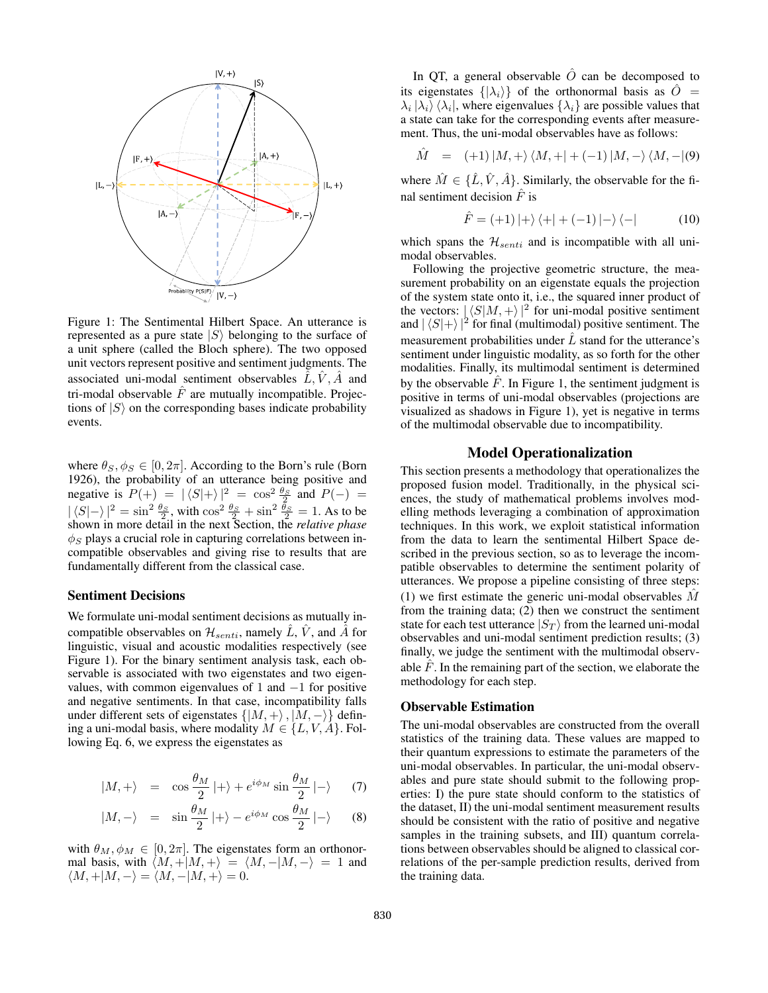

Figure 1: The Sentimental Hilbert Space. An utterance is represented as a pure state  $|S\rangle$  belonging to the surface of a unit sphere (called the Bloch sphere). The two opposed unit vectors represent positive and sentiment judgments. The associated uni-modal sentiment observables  $\hat{L}, \hat{V}, \hat{A}$  and tri-modal observable  $\hat{F}$  are mutually incompatible. Projections of  $|S\rangle$  on the corresponding bases indicate probability events.

where  $\theta_S$ ,  $\phi_S \in [0, 2\pi]$ . According to the Born's rule (Born 1926), the probability of an utterance being positive and negative is  $P(+) = |\langle S | + \rangle|^2 = \cos^2 \frac{\theta_S}{2}$  and  $P(-) =$  $|\langle S|-\rangle|^2 = \sin^2 \frac{\theta_S}{2}$ , with  $\cos^2 \frac{\theta_S}{2} + \sin^2 \frac{\theta_S}{2} = 1$ . As to be shown in more detail in the next Section, the *relative phase*  $\phi_S$  plays a crucial role in capturing correlations between incompatible observables and giving rise to results that are fundamentally different from the classical case.

#### Sentiment Decisions

We formulate uni-modal sentiment decisions as mutually incompatible observables on  $\mathcal{H}_{senti}$ , namely  $\tilde{L}$ ,  $\tilde{V}$ , and  $\tilde{A}$  for linguistic, visual and acoustic modalities respectively (see Figure 1). For the binary sentiment analysis task, each observable is associated with two eigenstates and two eigenvalues, with common eigenvalues of 1 and  $-1$  for positive and negative sentiments. In that case, incompatibility falls under different sets of eigenstates  $\{|M, +\rangle, |M, -\rangle\}$  defining a uni-modal basis, where modality  $M \in \{L, V, A\}$ . Following Eq. 6, we express the eigenstates as

$$
|M,+\rangle = \cos\frac{\theta_M}{2}|+\rangle + e^{i\phi_M}\sin\frac{\theta_M}{2}|-\rangle \qquad (7)
$$

$$
|M, -\rangle = \sin \frac{\theta_M}{2} |+\rangle - e^{i\phi_M} \cos \frac{\theta_M}{2} |-\rangle
$$
 (8)

with  $\theta_M, \phi_M \in [0, 2\pi]$ . The eigenstates form an orthonormal basis, with  $\langle M, +|M, +\rangle = \langle M, -|M, -\rangle = 1$  and  $\langle M, +|M, -\rangle = \langle M, -|M, +\rangle = 0.$ 

In QT, a general observable  $\hat{O}$  can be decomposed to its eigenstates  $\{|\lambda_i\rangle\}$  of the orthonormal basis as  $\ddot{O}$  =  $\lambda_i |\lambda_i\rangle \langle \lambda_i|$ , where eigenvalues  $\{\lambda_i\}$  are possible values that a state can take for the corresponding events after measurement. Thus, the uni-modal observables have as follows:

$$
\hat{M} = (+1) |M, +\rangle \langle M, +| + (-1) |M, -\rangle \langle M, -|(9)
$$

where  $\hat{M} \in \{\hat{L}, \hat{V}, \hat{A}\}\)$ . Similarly, the observable for the final sentiment decision  $\hat{F}$  is

$$
\hat{F} = (+1) \ket{+} \bra{+} + (-1) \ket{-} \bra{-} \tag{10}
$$

which spans the  $\mathcal{H}_{senti}$  and is incompatible with all unimodal observables.

Following the projective geometric structure, the measurement probability on an eigenstate equals the projection of the system state onto it, i.e., the squared inner product of the vectors:  $|\langle S|M, +\rangle|^2$  for uni-modal positive sentiment and  $|\langle S | + \rangle|^2$  for final (multimodal) positive sentiment. The measurement probabilities under  $\hat{L}$  stand for the utterance's sentiment under linguistic modality, as so forth for the other modalities. Finally, its multimodal sentiment is determined by the observable  $\hat{F}$ . In Figure 1, the sentiment judgment is positive in terms of uni-modal observables (projections are visualized as shadows in Figure 1), yet is negative in terms of the multimodal observable due to incompatibility.

### Model Operationalization

This section presents a methodology that operationalizes the proposed fusion model. Traditionally, in the physical sciences, the study of mathematical problems involves modelling methods leveraging a combination of approximation techniques. In this work, we exploit statistical information from the data to learn the sentimental Hilbert Space described in the previous section, so as to leverage the incompatible observables to determine the sentiment polarity of utterances. We propose a pipeline consisting of three steps: (1) we first estimate the generic uni-modal observables  $\tilde{M}$ from the training data; (2) then we construct the sentiment state for each test utterance  $|S_T\rangle$  from the learned uni-modal observables and uni-modal sentiment prediction results; (3) finally, we judge the sentiment with the multimodal observable  $\hat{F}$ . In the remaining part of the section, we elaborate the methodology for each step.

#### Observable Estimation

The uni-modal observables are constructed from the overall statistics of the training data. These values are mapped to their quantum expressions to estimate the parameters of the uni-modal observables. In particular, the uni-modal observables and pure state should submit to the following properties: I) the pure state should conform to the statistics of the dataset, II) the uni-modal sentiment measurement results should be consistent with the ratio of positive and negative samples in the training subsets, and III) quantum correlations between observables should be aligned to classical correlations of the per-sample prediction results, derived from the training data.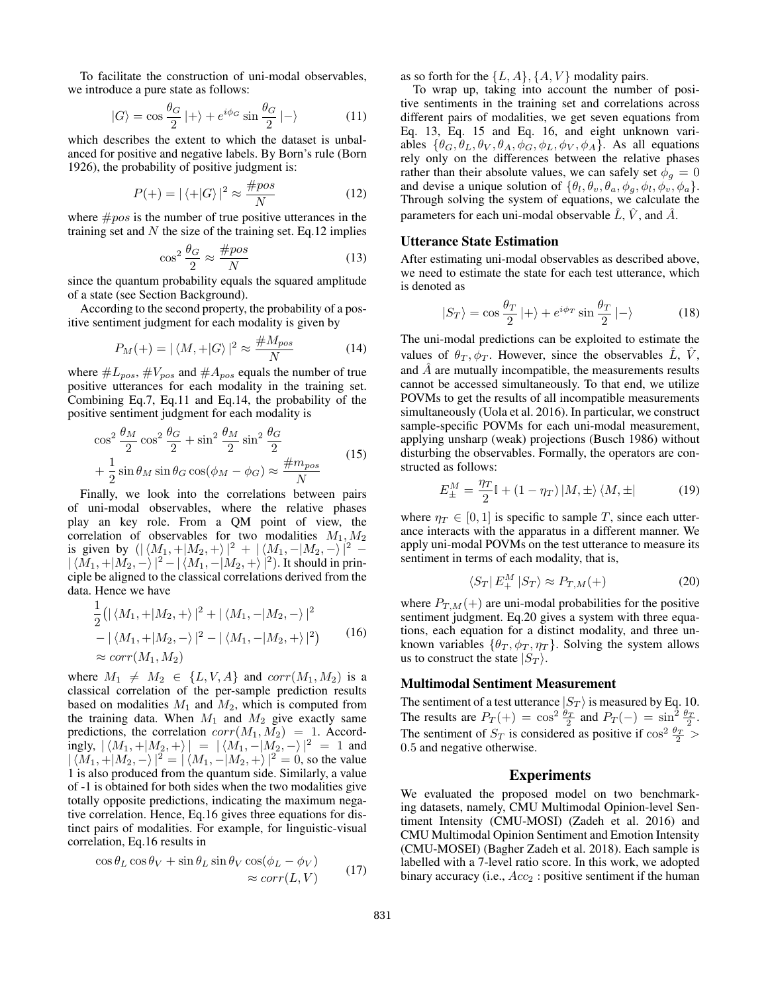To facilitate the construction of uni-modal observables, we introduce a pure state as follows:

$$
|G\rangle = \cos\frac{\theta_G}{2}|+\rangle + e^{i\phi_G}\sin\frac{\theta_G}{2}|-\rangle \tag{11}
$$

which describes the extent to which the dataset is unbalanced for positive and negative labels. By Born's rule (Born 1926), the probability of positive judgment is:

$$
P(+) = |\langle +|G\rangle|^2 \approx \frac{\#pos}{N}
$$
 (12)

where  $\#pos$  is the number of true positive utterances in the training set and  $N$  the size of the training set. Eq.12 implies

$$
\cos^2 \frac{\theta_G}{2} \approx \frac{\#pos}{N} \tag{13}
$$

since the quantum probability equals the squared amplitude of a state (see Section Background).

According to the second property, the probability of a positive sentiment judgment for each modality is given by

$$
P_M(+) = |\langle M, + |G \rangle|^2 \approx \frac{\# M_{pos}}{N}
$$
 (14)

where  $\#L_{pos}$ ,  $\#V_{pos}$  and  $\#A_{pos}$  equals the number of true positive utterances for each modality in the training set. Combining Eq.7, Eq.11 and Eq.14, the probability of the positive sentiment judgment for each modality is

$$
\cos^2 \frac{\theta_M}{2} \cos^2 \frac{\theta_G}{2} + \sin^2 \frac{\theta_M}{2} \sin^2 \frac{\theta_G}{2} + \frac{1}{2} \sin \theta_M \sin \theta_G \cos(\phi_M - \phi_G) \approx \frac{\#m_{pos}}{N}
$$
(15)

Finally, we look into the correlations between pairs of uni-modal observables, where the relative phases play an key role. From a QM point of view, the correlation of observables for two modalities  $M_1, M_2$ is given by  $(|\langle M_1, +|M_2, +\rangle|^2 + |\langle M_1, -|M_2, -\rangle|^2 |\braket{M_1, +|M_2, -}|^2 - |\braket{M_1, -|M_2, +}|^2$ . It should in principle be aligned to the classical correlations derived from the data. Hence we have

$$
\frac{1}{2} (|\langle M_1, + | M_2, + \rangle|^2 + |\langle M_1, - | M_2, - \rangle|^2 \n- |\langle M_1, + | M_2, - \rangle|^2 - |\langle M_1, - | M_2, + \rangle|^2) \qquad (16)\n\approx corr(M_1, M_2)
$$

where  $M_1 \neq M_2 \in \{L, V, A\}$  and  $corr(M_1, M_2)$  is a classical correlation of the per-sample prediction results based on modalities  $M_1$  and  $M_2$ , which is computed from the training data. When  $M_1$  and  $M_2$  give exactly same predictions, the correlation  $corr(M_1, M_2) = 1$ . Accordingly,  $|\langle M_1, +|M_2, +\rangle| = |\langle M_1, -|M_2, -\rangle|^2 = 1$  and  $|\langle M_1, +|M_2, -\rangle|^2 = |\langle M_1, -|M_2, +\rangle|^2 = 0$ , so the value 1 is also produced from the quantum side. Similarly, a value of -1 is obtained for both sides when the two modalities give totally opposite predictions, indicating the maximum negative correlation. Hence, Eq.16 gives three equations for distinct pairs of modalities. For example, for linguistic-visual correlation, Eq.16 results in

$$
\cos \theta_L \cos \theta_V + \sin \theta_L \sin \theta_V \cos(\phi_L - \phi_V) \n\approx corr(L, V)
$$
\n(17)

as so forth for the  $\{L, A\}, \{A, V\}$  modality pairs.

To wrap up, taking into account the number of positive sentiments in the training set and correlations across different pairs of modalities, we get seven equations from Eq. 13, Eq. 15 and Eq. 16, and eight unknown variables  $\{\theta_G, \theta_L, \theta_V, \theta_A, \phi_G, \phi_L, \phi_V, \phi_A\}$ . As all equations rely only on the differences between the relative phases rather than their absolute values, we can safely set  $\phi_q = 0$ and devise a unique solution of  $\{\theta_l, \theta_v, \theta_a, \phi_g, \phi_l, \phi_v, \phi_a\}.$ Through solving the system of equations, we calculate the parameters for each uni-modal observable  $\hat{L}$ ,  $\hat{V}$ , and  $\hat{A}$ .

### Utterance State Estimation

After estimating uni-modal observables as described above, we need to estimate the state for each test utterance, which is denoted as

$$
|S_T\rangle = \cos\frac{\theta_T}{2}|+\rangle + e^{i\phi_T}\sin\frac{\theta_T}{2}|-\rangle \tag{18}
$$

The uni-modal predictions can be exploited to estimate the values of  $\theta_T$ ,  $\phi_T$ . However, since the observables L, V, and  $\hat{A}$  are mutually incompatible, the measurements results cannot be accessed simultaneously. To that end, we utilize POVMs to get the results of all incompatible measurements simultaneously (Uola et al. 2016). In particular, we construct sample-specific POVMs for each uni-modal measurement, applying unsharp (weak) projections (Busch 1986) without disturbing the observables. Formally, the operators are constructed as follows:

$$
E_{\pm}^{M} = \frac{\eta_{T}}{2} \mathbb{I} + (1 - \eta_{T}) \left| M, \pm \right\rangle \left\langle M, \pm \right| \tag{19}
$$

where  $\eta_T \in [0, 1]$  is specific to sample T, since each utterance interacts with the apparatus in a different manner. We apply uni-modal POVMs on the test utterance to measure its sentiment in terms of each modality, that is,

$$
\langle S_T | E_+^M | S_T \rangle \approx P_{T,M}(+) \tag{20}
$$

where  $P_{T,M}(+)$  are uni-modal probabilities for the positive sentiment judgment. Eq.20 gives a system with three equations, each equation for a distinct modality, and three unknown variables  $\{\theta_T, \phi_T, \eta_T\}$ . Solving the system allows us to construct the state  $|S_T\rangle$ .

#### Multimodal Sentiment Measurement

The sentiment of a test utterance  $|S_T\rangle$  is measured by Eq. 10. The results are  $P_T(+) = \cos^2 \frac{\theta_T}{2}$  and  $P_T(-) = \sin^2 \frac{\theta_T}{2}$ . The sentiment of  $S_T$  is considered as positive if  $\cos^2 \frac{\theta_T}{2}$  > 0.5 and negative otherwise.

#### Experiments

We evaluated the proposed model on two benchmarking datasets, namely, CMU Multimodal Opinion-level Sentiment Intensity (CMU-MOSI) (Zadeh et al. 2016) and CMU Multimodal Opinion Sentiment and Emotion Intensity (CMU-MOSEI) (Bagher Zadeh et al. 2018). Each sample is labelled with a 7-level ratio score. In this work, we adopted binary accuracy (i.e.,  $Acc_2$ : positive sentiment if the human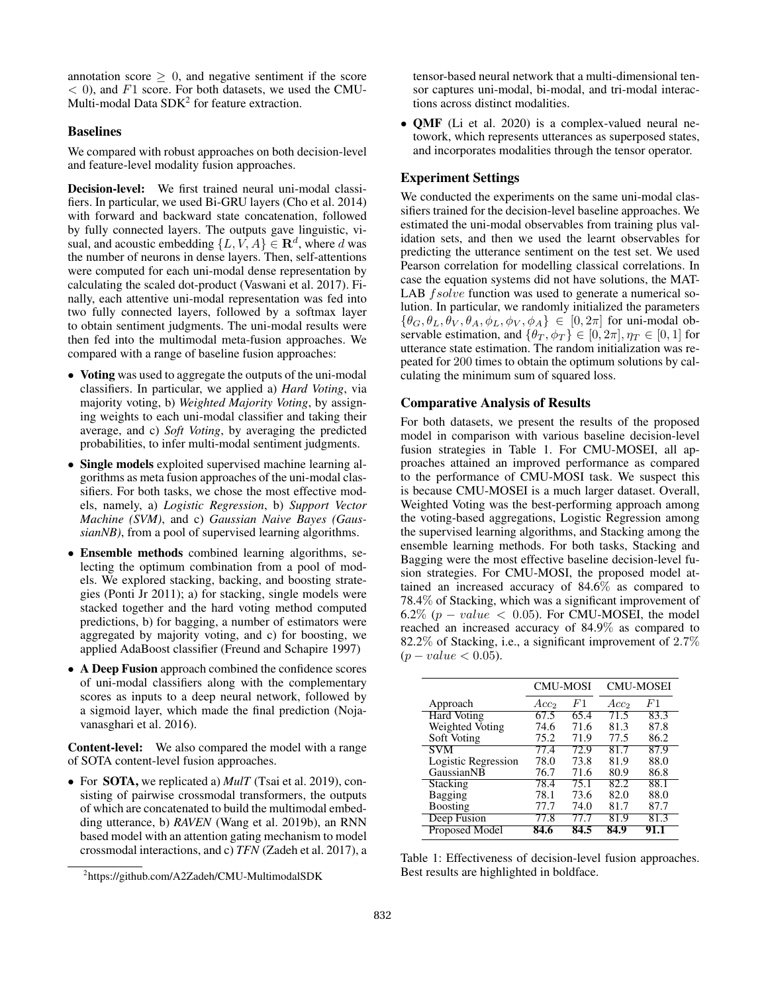annotation score  $\geq 0$ , and negative sentiment if the score  $<$  0), and  $F1$  score. For both datasets, we used the CMU-Multi-modal Data SDK<sup>2</sup> for feature extraction.

### Baselines

We compared with robust approaches on both decision-level and feature-level modality fusion approaches.

Decision-level: We first trained neural uni-modal classifiers. In particular, we used Bi-GRU layers (Cho et al. 2014) with forward and backward state concatenation, followed by fully connected layers. The outputs gave linguistic, visual, and acoustic embedding  $\{L, V, A\} \in \mathbb{R}^d$ , where d was the number of neurons in dense layers. Then, self-attentions were computed for each uni-modal dense representation by calculating the scaled dot-product (Vaswani et al. 2017). Finally, each attentive uni-modal representation was fed into two fully connected layers, followed by a softmax layer to obtain sentiment judgments. The uni-modal results were then fed into the multimodal meta-fusion approaches. We compared with a range of baseline fusion approaches:

- Voting was used to aggregate the outputs of the uni-modal classifiers. In particular, we applied a) *Hard Voting*, via majority voting, b) *Weighted Majority Voting*, by assigning weights to each uni-modal classifier and taking their average, and c) *Soft Voting*, by averaging the predicted probabilities, to infer multi-modal sentiment judgments.
- Single models exploited supervised machine learning algorithms as meta fusion approaches of the uni-modal classifiers. For both tasks, we chose the most effective models, namely, a) *Logistic Regression*, b) *Support Vector Machine (SVM)*, and c) *Gaussian Naive Bayes (GaussianNB)*, from a pool of supervised learning algorithms.
- Ensemble methods combined learning algorithms, selecting the optimum combination from a pool of models. We explored stacking, backing, and boosting strategies (Ponti Jr 2011); a) for stacking, single models were stacked together and the hard voting method computed predictions, b) for bagging, a number of estimators were aggregated by majority voting, and c) for boosting, we applied AdaBoost classifier (Freund and Schapire 1997)
- A Deep Fusion approach combined the confidence scores of uni-modal classifiers along with the complementary scores as inputs to a deep neural network, followed by a sigmoid layer, which made the final prediction (Nojavanasghari et al. 2016).

Content-level: We also compared the model with a range of SOTA content-level fusion approaches.

• For SOTA, we replicated a) *MulT* (Tsai et al. 2019), consisting of pairwise crossmodal transformers, the outputs of which are concatenated to build the multimodal embedding utterance, b) *RAVEN* (Wang et al. 2019b), an RNN based model with an attention gating mechanism to model crossmodal interactions, and c) *TFN* (Zadeh et al. 2017), a tensor-based neural network that a multi-dimensional tensor captures uni-modal, bi-modal, and tri-modal interactions across distinct modalities.

• QMF (Li et al. 2020) is a complex-valued neural netowork, which represents utterances as superposed states, and incorporates modalities through the tensor operator.

#### Experiment Settings

We conducted the experiments on the same uni-modal classifiers trained for the decision-level baseline approaches. We estimated the uni-modal observables from training plus validation sets, and then we used the learnt observables for predicting the utterance sentiment on the test set. We used Pearson correlation for modelling classical correlations. In case the equation systems did not have solutions, the MAT-LAB *fsolve* function was used to generate a numerical solution. In particular, we randomly initialized the parameters  $\{\theta_G, \theta_L, \theta_V, \theta_A, \phi_L, \phi_V, \phi_A\} \in [0, 2\pi]$  for uni-modal observable estimation, and  $\{\theta_T, \phi_T\} \in [0, 2\pi], \eta_T \in [0, 1]$  for utterance state estimation. The random initialization was repeated for 200 times to obtain the optimum solutions by calculating the minimum sum of squared loss.

#### Comparative Analysis of Results

For both datasets, we present the results of the proposed model in comparison with various baseline decision-level fusion strategies in Table 1. For CMU-MOSEI, all approaches attained an improved performance as compared to the performance of CMU-MOSI task. We suspect this is because CMU-MOSEI is a much larger dataset. Overall, Weighted Voting was the best-performing approach among the voting-based aggregations, Logistic Regression among the supervised learning algorithms, and Stacking among the ensemble learning methods. For both tasks, Stacking and Bagging were the most effective baseline decision-level fusion strategies. For CMU-MOSI, the proposed model attained an increased accuracy of 84.6% as compared to 78.4% of Stacking, which was a significant improvement of 6.2% ( $p-value < 0.05$ ). For CMU-MOSEI, the model reached an increased accuracy of 84.9% as compared to 82.2% of Stacking, i.e., a significant improvement of 2.7%  $(p-value < 0.05)$ .

|                     | <b>CMU-MOSI</b>  |      | <b>CMU-MOSEI</b> |      |
|---------------------|------------------|------|------------------|------|
| Approach            | Acc <sub>2</sub> | F1   | Acc <sub>2</sub> | F1   |
| <b>Hard Voting</b>  | 67.5             | 65.4 | 71.5             | 83.3 |
| Weighted Voting     | 74.6             | 71.6 | 81.3             | 87.8 |
| Soft Voting         | 75.2             | 71.9 | 77.5             | 86.2 |
| <b>SVM</b>          | 77.4             | 72.9 | 81.7             | 87.9 |
| Logistic Regression | 78.0             | 73.8 | 81.9             | 88.0 |
| GaussianNB          | 76.7             | 71.6 | 80.9             | 86.8 |
| Stacking            | 78.4             | 75.1 | 82.2             | 88.1 |
| Bagging             | 78.1             | 73.6 | 82.0             | 88.0 |
| <b>Boosting</b>     | 77.7             | 74.0 | 81.7             | 87.7 |
| Deep Fusion         | 77.8             | 77 7 | 81.9             | 81.3 |
| Proposed Model      | 84.6             | 84.5 | 84.9             | 91.1 |

Table 1: Effectiveness of decision-level fusion approaches. Best results are highlighted in boldface.

<sup>2</sup> https://github.com/A2Zadeh/CMU-MultimodalSDK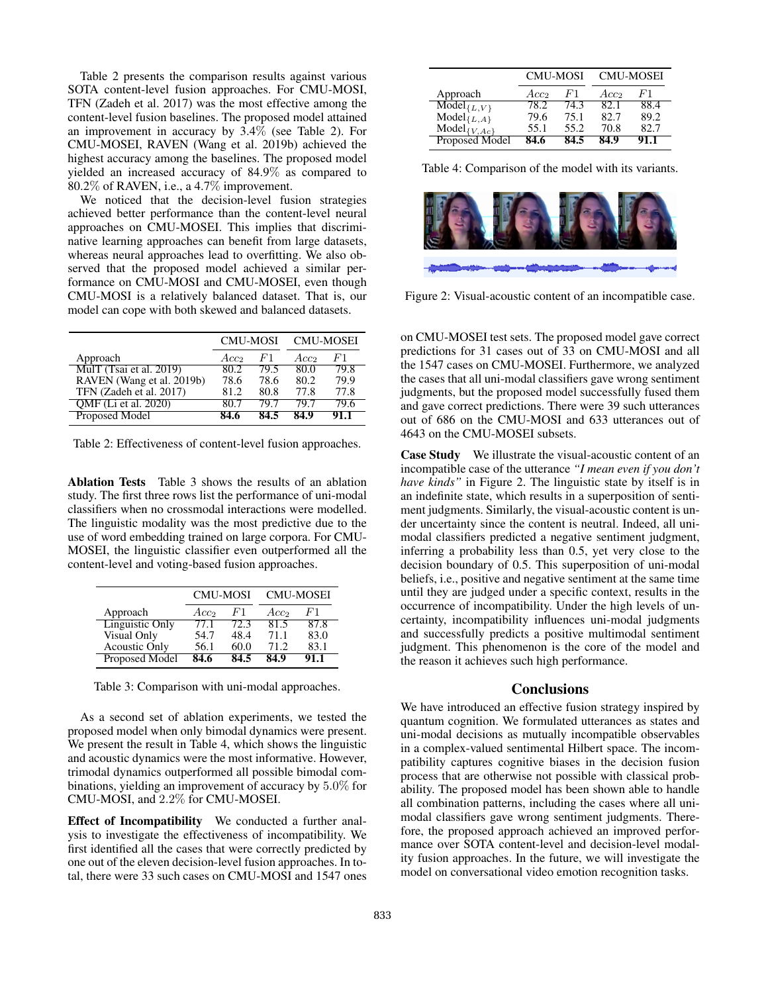Table 2 presents the comparison results against various SOTA content-level fusion approaches. For CMU-MOSI, TFN (Zadeh et al. 2017) was the most effective among the content-level fusion baselines. The proposed model attained an improvement in accuracy by 3.4% (see Table 2). For CMU-MOSEI, RAVEN (Wang et al. 2019b) achieved the highest accuracy among the baselines. The proposed model yielded an increased accuracy of 84.9% as compared to 80.2% of RAVEN, i.e., a 4.7% improvement.

We noticed that the decision-level fusion strategies achieved better performance than the content-level neural approaches on CMU-MOSEI. This implies that discriminative learning approaches can benefit from large datasets, whereas neural approaches lead to overfitting. We also observed that the proposed model achieved a similar performance on CMU-MOSI and CMU-MOSEI, even though CMU-MOSI is a relatively balanced dataset. That is, our model can cope with both skewed and balanced datasets.

|                           | <b>CMU-MOSI</b>  |      | <b>CMU-MOSEI</b> |      |
|---------------------------|------------------|------|------------------|------|
| Approach                  | Acc <sub>2</sub> | F1   | Acc <sub>2</sub> | F1   |
| MulT $(Tsai et al. 2019)$ | 80.2             | 79.5 | 80.0             | 79.8 |
| RAVEN (Wang et al. 2019b) | 78.6             | 78.6 | 80.2             | 79.9 |
| TFN (Zadeh et al. 2017)   | 81.2             | 80.8 | 77.8             | 77.8 |
| OMF (Li et al. 2020)      | 80 7             | 79.7 | 79 7             | 79.6 |
| Proposed Model            | 84 6             |      | 84.9             | 91.1 |

Table 2: Effectiveness of content-level fusion approaches.

Ablation Tests Table 3 shows the results of an ablation study. The first three rows list the performance of uni-modal classifiers when no crossmodal interactions were modelled. The linguistic modality was the most predictive due to the use of word embedding trained on large corpora. For CMU-MOSEI, the linguistic classifier even outperformed all the content-level and voting-based fusion approaches.

|                        | <b>CMU-MOSI</b>  |      | <b>CMU-MOSEI</b> |      |
|------------------------|------------------|------|------------------|------|
| Approach               | Acc <sub>2</sub> | F1   | Acc <sub>2</sub> | F1   |
| <b>Linguistic Only</b> | 77.1             | 72.3 | 81.5             | 87.8 |
| Visual Only            | 54.7             | 48.4 | 71.1             | 83.0 |
| <b>Acoustic Only</b>   | 56.1             | 60.0 | 71.2             | 83.1 |
| <b>Proposed Model</b>  | 84.6             | 84.5 | 84.9             | 91.1 |

Table 3: Comparison with uni-modal approaches.

As a second set of ablation experiments, we tested the proposed model when only bimodal dynamics were present. We present the result in Table 4, which shows the linguistic and acoustic dynamics were the most informative. However, trimodal dynamics outperformed all possible bimodal combinations, yielding an improvement of accuracy by 5.0% for CMU-MOSI, and 2.2% for CMU-MOSEI.

Effect of Incompatibility We conducted a further analysis to investigate the effectiveness of incompatibility. We first identified all the cases that were correctly predicted by one out of the eleven decision-level fusion approaches. In total, there were 33 such cases on CMU-MOSI and 1547 ones

|                                                | <b>CMU-MOSI</b>  |                | <b>CMU-MOSEI</b> |      |
|------------------------------------------------|------------------|----------------|------------------|------|
| Approach                                       | Acc <sub>2</sub> | F <sup>1</sup> | Acc <sub>2</sub> | F1   |
|                                                | 78 2             | 74.3           | 82.1             | 88.4 |
| $\text{Model}_{\{L,V\}}$<br>Model $_{\{L,A\}}$ | 79.6             | 75.1           | 82.7             | 89.2 |
| $Model_{\{V,Ac\}}$                             | 55.1             | 55.2           | 70.8             | 82.7 |
| Proposed Model                                 | 84.6             | 84.5           | 84.9             | 91.1 |

Table 4: Comparison of the model with its variants.



Figure 2: Visual-acoustic content of an incompatible case.

on CMU-MOSEI test sets. The proposed model gave correct predictions for 31 cases out of 33 on CMU-MOSI and all the 1547 cases on CMU-MOSEI. Furthermore, we analyzed the cases that all uni-modal classifiers gave wrong sentiment judgments, but the proposed model successfully fused them and gave correct predictions. There were 39 such utterances out of 686 on the CMU-MOSI and 633 utterances out of 4643 on the CMU-MOSEI subsets.

Case Study We illustrate the visual-acoustic content of an incompatible case of the utterance *"I mean even if you don't have kinds"* in Figure 2. The linguistic state by itself is in an indefinite state, which results in a superposition of sentiment judgments. Similarly, the visual-acoustic content is under uncertainty since the content is neutral. Indeed, all unimodal classifiers predicted a negative sentiment judgment, inferring a probability less than 0.5, yet very close to the decision boundary of 0.5. This superposition of uni-modal beliefs, i.e., positive and negative sentiment at the same time until they are judged under a specific context, results in the occurrence of incompatibility. Under the high levels of uncertainty, incompatibility influences uni-modal judgments and successfully predicts a positive multimodal sentiment judgment. This phenomenon is the core of the model and the reason it achieves such high performance.

#### **Conclusions**

We have introduced an effective fusion strategy inspired by quantum cognition. We formulated utterances as states and uni-modal decisions as mutually incompatible observables in a complex-valued sentimental Hilbert space. The incompatibility captures cognitive biases in the decision fusion process that are otherwise not possible with classical probability. The proposed model has been shown able to handle all combination patterns, including the cases where all unimodal classifiers gave wrong sentiment judgments. Therefore, the proposed approach achieved an improved performance over SOTA content-level and decision-level modality fusion approaches. In the future, we will investigate the model on conversational video emotion recognition tasks.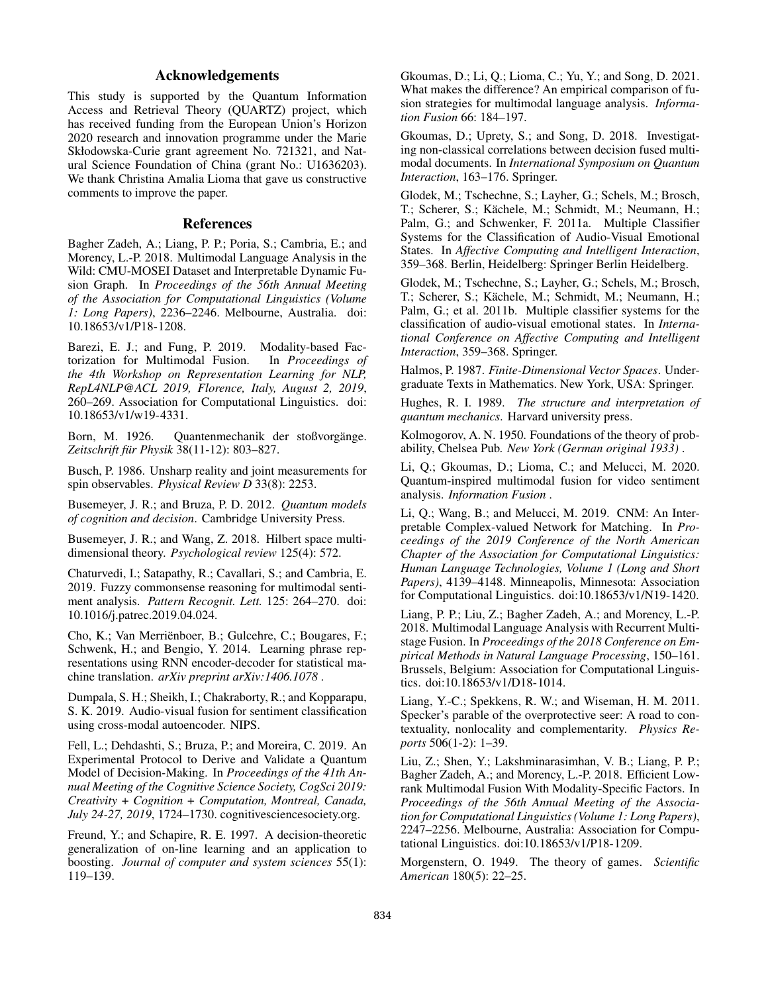## Acknowledgements

This study is supported by the Quantum Information Access and Retrieval Theory (QUARTZ) project, which has received funding from the European Union's Horizon 2020 research and innovation programme under the Marie Skłodowska-Curie grant agreement No. 721321, and Natural Science Foundation of China (grant No.: U1636203). We thank Christina Amalia Lioma that gave us constructive comments to improve the paper.

## References

Bagher Zadeh, A.; Liang, P. P.; Poria, S.; Cambria, E.; and Morency, L.-P. 2018. Multimodal Language Analysis in the Wild: CMU-MOSEI Dataset and Interpretable Dynamic Fusion Graph. In *Proceedings of the 56th Annual Meeting of the Association for Computational Linguistics (Volume 1: Long Papers)*, 2236–2246. Melbourne, Australia. doi: 10.18653/v1/P18-1208.

Barezi, E. J.; and Fung, P. 2019. Modality-based Factorization for Multimodal Fusion. In *Proceedings of the 4th Workshop on Representation Learning for NLP, RepL4NLP@ACL 2019, Florence, Italy, August 2, 2019*, 260–269. Association for Computational Linguistics. doi: 10.18653/v1/w19-4331.

Born, M. 1926. Quantenmechanik der stoßvorgänge. *Zeitschrift fur Physik ¨* 38(11-12): 803–827.

Busch, P. 1986. Unsharp reality and joint measurements for spin observables. *Physical Review D* 33(8): 2253.

Busemeyer, J. R.; and Bruza, P. D. 2012. *Quantum models of cognition and decision*. Cambridge University Press.

Busemeyer, J. R.; and Wang, Z. 2018. Hilbert space multidimensional theory. *Psychological review* 125(4): 572.

Chaturvedi, I.; Satapathy, R.; Cavallari, S.; and Cambria, E. 2019. Fuzzy commonsense reasoning for multimodal sentiment analysis. *Pattern Recognit. Lett.* 125: 264–270. doi: 10.1016/j.patrec.2019.04.024.

Cho, K.; Van Merriënboer, B.; Gulcehre, C.; Bougares, F.; Schwenk, H.; and Bengio, Y. 2014. Learning phrase representations using RNN encoder-decoder for statistical machine translation. *arXiv preprint arXiv:1406.1078* .

Dumpala, S. H.; Sheikh, I.; Chakraborty, R.; and Kopparapu, S. K. 2019. Audio-visual fusion for sentiment classification using cross-modal autoencoder. NIPS.

Fell, L.; Dehdashti, S.; Bruza, P.; and Moreira, C. 2019. An Experimental Protocol to Derive and Validate a Quantum Model of Decision-Making. In *Proceedings of the 41th Annual Meeting of the Cognitive Science Society, CogSci 2019: Creativity + Cognition + Computation, Montreal, Canada, July 24-27, 2019*, 1724–1730. cognitivesciencesociety.org.

Freund, Y.; and Schapire, R. E. 1997. A decision-theoretic generalization of on-line learning and an application to boosting. *Journal of computer and system sciences* 55(1): 119–139.

Gkoumas, D.; Li, Q.; Lioma, C.; Yu, Y.; and Song, D. 2021. What makes the difference? An empirical comparison of fusion strategies for multimodal language analysis. *Information Fusion* 66: 184–197.

Gkoumas, D.; Uprety, S.; and Song, D. 2018. Investigating non-classical correlations between decision fused multimodal documents. In *International Symposium on Quantum Interaction*, 163–176. Springer.

Glodek, M.; Tschechne, S.; Layher, G.; Schels, M.; Brosch, T.; Scherer, S.; Kächele, M.; Schmidt, M.; Neumann, H.; Palm, G.; and Schwenker, F. 2011a. Multiple Classifier Systems for the Classification of Audio-Visual Emotional States. In *Affective Computing and Intelligent Interaction*, 359–368. Berlin, Heidelberg: Springer Berlin Heidelberg.

Glodek, M.; Tschechne, S.; Layher, G.; Schels, M.; Brosch, T.; Scherer, S.; Kächele, M.; Schmidt, M.; Neumann, H.; Palm, G.; et al. 2011b. Multiple classifier systems for the classification of audio-visual emotional states. In *International Conference on Affective Computing and Intelligent Interaction*, 359–368. Springer.

Halmos, P. 1987. *Finite-Dimensional Vector Spaces*. Undergraduate Texts in Mathematics. New York, USA: Springer.

Hughes, R. I. 1989. *The structure and interpretation of quantum mechanics*. Harvard university press.

Kolmogorov, A. N. 1950. Foundations of the theory of probability, Chelsea Pub. *New York (German original 1933)* .

Li, Q.; Gkoumas, D.; Lioma, C.; and Melucci, M. 2020. Quantum-inspired multimodal fusion for video sentiment analysis. *Information Fusion* .

Li, Q.; Wang, B.; and Melucci, M. 2019. CNM: An Interpretable Complex-valued Network for Matching. In *Proceedings of the 2019 Conference of the North American Chapter of the Association for Computational Linguistics: Human Language Technologies, Volume 1 (Long and Short Papers)*, 4139–4148. Minneapolis, Minnesota: Association for Computational Linguistics. doi:10.18653/v1/N19-1420.

Liang, P. P.; Liu, Z.; Bagher Zadeh, A.; and Morency, L.-P. 2018. Multimodal Language Analysis with Recurrent Multistage Fusion. In *Proceedings of the 2018 Conference on Empirical Methods in Natural Language Processing*, 150–161. Brussels, Belgium: Association for Computational Linguistics. doi:10.18653/v1/D18-1014.

Liang, Y.-C.; Spekkens, R. W.; and Wiseman, H. M. 2011. Specker's parable of the overprotective seer: A road to contextuality, nonlocality and complementarity. *Physics Reports* 506(1-2): 1–39.

Liu, Z.; Shen, Y.; Lakshminarasimhan, V. B.; Liang, P. P.; Bagher Zadeh, A.; and Morency, L.-P. 2018. Efficient Lowrank Multimodal Fusion With Modality-Specific Factors. In *Proceedings of the 56th Annual Meeting of the Association for Computational Linguistics (Volume 1: Long Papers)*, 2247–2256. Melbourne, Australia: Association for Computational Linguistics. doi:10.18653/v1/P18-1209.

Morgenstern, O. 1949. The theory of games. *Scientific American* 180(5): 22–25.